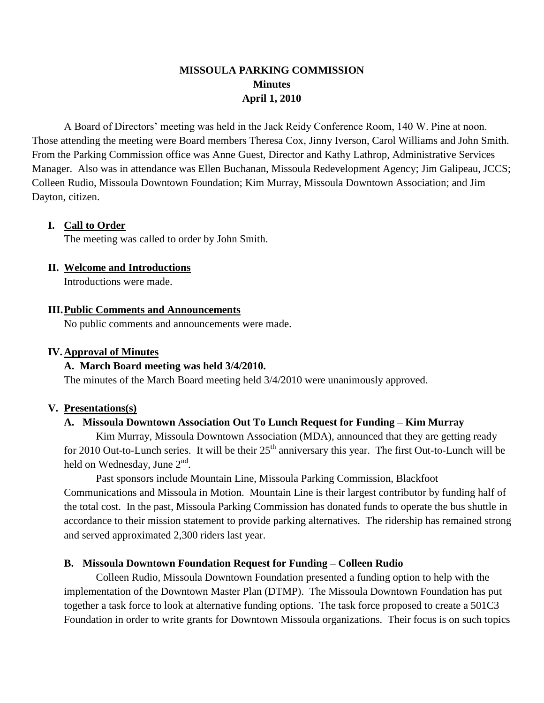# **MISSOULA PARKING COMMISSION Minutes April 1, 2010**

A Board of Directors' meeting was held in the Jack Reidy Conference Room, 140 W. Pine at noon. Those attending the meeting were Board members Theresa Cox, Jinny Iverson, Carol Williams and John Smith. From the Parking Commission office was Anne Guest, Director and Kathy Lathrop, Administrative Services Manager. Also was in attendance was Ellen Buchanan, Missoula Redevelopment Agency; Jim Galipeau, JCCS; Colleen Rudio, Missoula Downtown Foundation; Kim Murray, Missoula Downtown Association; and Jim Dayton, citizen.

## **I. Call to Order**

The meeting was called to order by John Smith.

### **II. Welcome and Introductions**

Introductions were made.

### **III.Public Comments and Announcements**

No public comments and announcements were made.

### **IV.Approval of Minutes**

## **A. March Board meeting was held 3/4/2010.**

The minutes of the March Board meeting held 3/4/2010 were unanimously approved.

#### **V. Presentations(s)**

### **A. Missoula Downtown Association Out To Lunch Request for Funding – Kim Murray**

Kim Murray, Missoula Downtown Association (MDA), announced that they are getting ready for 2010 Out-to-Lunch series. It will be their  $25<sup>th</sup>$  anniversary this year. The first Out-to-Lunch will be held on Wednesday, June 2<sup>nd</sup>.

Past sponsors include Mountain Line, Missoula Parking Commission, Blackfoot Communications and Missoula in Motion. Mountain Line is their largest contributor by funding half of the total cost. In the past, Missoula Parking Commission has donated funds to operate the bus shuttle in accordance to their mission statement to provide parking alternatives. The ridership has remained strong and served approximated 2,300 riders last year.

## **B. Missoula Downtown Foundation Request for Funding – Colleen Rudio**

Colleen Rudio, Missoula Downtown Foundation presented a funding option to help with the implementation of the Downtown Master Plan (DTMP). The Missoula Downtown Foundation has put together a task force to look at alternative funding options. The task force proposed to create a 501C3 Foundation in order to write grants for Downtown Missoula organizations. Their focus is on such topics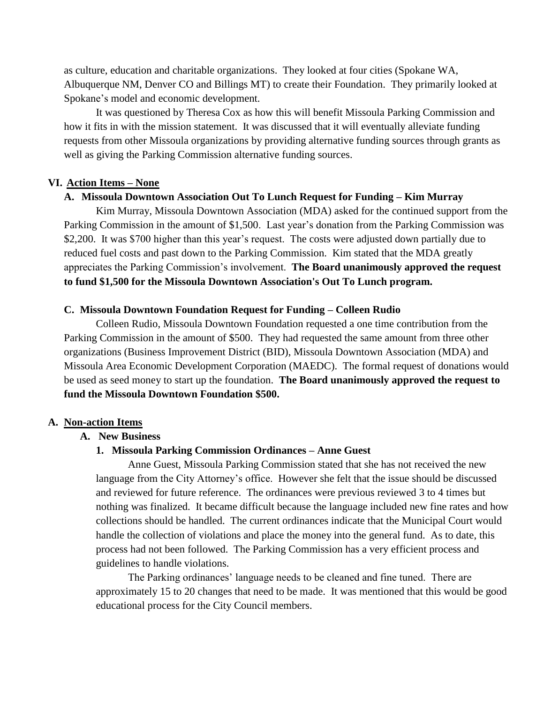as culture, education and charitable organizations. They looked at four cities (Spokane WA, Albuquerque NM, Denver CO and Billings MT) to create their Foundation. They primarily looked at Spokane's model and economic development.

It was questioned by Theresa Cox as how this will benefit Missoula Parking Commission and how it fits in with the mission statement. It was discussed that it will eventually alleviate funding requests from other Missoula organizations by providing alternative funding sources through grants as well as giving the Parking Commission alternative funding sources.

### **VI. Action Items – None**

#### **A. Missoula Downtown Association Out To Lunch Request for Funding – Kim Murray**

Kim Murray, Missoula Downtown Association (MDA) asked for the continued support from the Parking Commission in the amount of \$1,500. Last year's donation from the Parking Commission was \$2,200. It was \$700 higher than this year's request. The costs were adjusted down partially due to reduced fuel costs and past down to the Parking Commission. Kim stated that the MDA greatly appreciates the Parking Commission's involvement. **The Board unanimously approved the request to fund \$1,500 for the Missoula Downtown Association's Out To Lunch program.**

#### **C. Missoula Downtown Foundation Request for Funding – Colleen Rudio**

Colleen Rudio, Missoula Downtown Foundation requested a one time contribution from the Parking Commission in the amount of \$500. They had requested the same amount from three other organizations (Business Improvement District (BID), Missoula Downtown Association (MDA) and Missoula Area Economic Development Corporation (MAEDC). The formal request of donations would be used as seed money to start up the foundation. **The Board unanimously approved the request to fund the Missoula Downtown Foundation \$500.**

#### **A. Non-action Items**

#### **A. New Business**

### **1. Missoula Parking Commission Ordinances – Anne Guest**

Anne Guest, Missoula Parking Commission stated that she has not received the new language from the City Attorney's office. However she felt that the issue should be discussed and reviewed for future reference. The ordinances were previous reviewed 3 to 4 times but nothing was finalized. It became difficult because the language included new fine rates and how collections should be handled. The current ordinances indicate that the Municipal Court would handle the collection of violations and place the money into the general fund. As to date, this process had not been followed. The Parking Commission has a very efficient process and guidelines to handle violations.

The Parking ordinances' language needs to be cleaned and fine tuned. There are approximately 15 to 20 changes that need to be made. It was mentioned that this would be good educational process for the City Council members.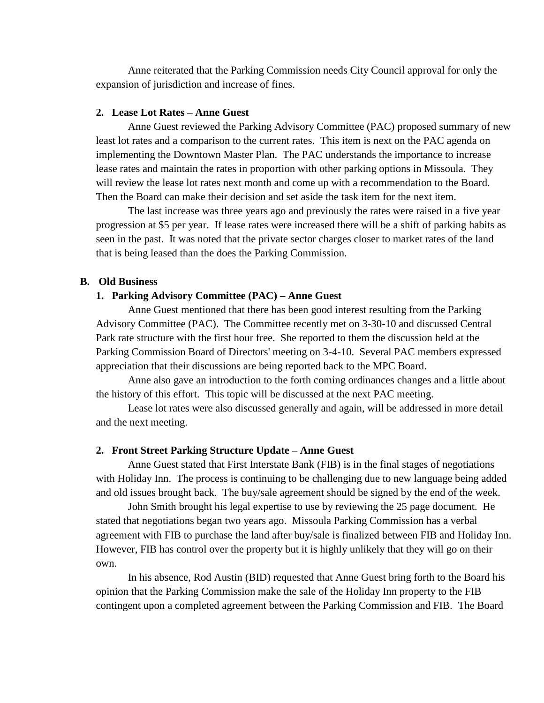Anne reiterated that the Parking Commission needs City Council approval for only the expansion of jurisdiction and increase of fines.

#### **2. Lease Lot Rates – Anne Guest**

Anne Guest reviewed the Parking Advisory Committee (PAC) proposed summary of new least lot rates and a comparison to the current rates. This item is next on the PAC agenda on implementing the Downtown Master Plan. The PAC understands the importance to increase lease rates and maintain the rates in proportion with other parking options in Missoula. They will review the lease lot rates next month and come up with a recommendation to the Board. Then the Board can make their decision and set aside the task item for the next item.

The last increase was three years ago and previously the rates were raised in a five year progression at \$5 per year. If lease rates were increased there will be a shift of parking habits as seen in the past. It was noted that the private sector charges closer to market rates of the land that is being leased than the does the Parking Commission.

#### **B. Old Business**

#### **1. Parking Advisory Committee (PAC) – Anne Guest**

Anne Guest mentioned that there has been good interest resulting from the Parking Advisory Committee (PAC). The Committee recently met on 3-30-10 and discussed Central Park rate structure with the first hour free. She reported to them the discussion held at the Parking Commission Board of Directors' meeting on 3-4-10. Several PAC members expressed appreciation that their discussions are being reported back to the MPC Board.

Anne also gave an introduction to the forth coming ordinances changes and a little about the history of this effort. This topic will be discussed at the next PAC meeting.

Lease lot rates were also discussed generally and again, will be addressed in more detail and the next meeting.

#### **2. Front Street Parking Structure Update – Anne Guest**

Anne Guest stated that First Interstate Bank (FIB) is in the final stages of negotiations with Holiday Inn. The process is continuing to be challenging due to new language being added and old issues brought back. The buy/sale agreement should be signed by the end of the week.

John Smith brought his legal expertise to use by reviewing the 25 page document. He stated that negotiations began two years ago. Missoula Parking Commission has a verbal agreement with FIB to purchase the land after buy/sale is finalized between FIB and Holiday Inn. However, FIB has control over the property but it is highly unlikely that they will go on their own.

In his absence, Rod Austin (BID) requested that Anne Guest bring forth to the Board his opinion that the Parking Commission make the sale of the Holiday Inn property to the FIB contingent upon a completed agreement between the Parking Commission and FIB. The Board